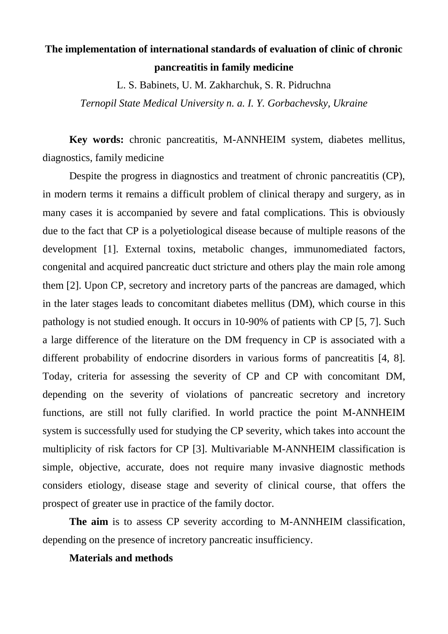# **The implementation of international standards of evaluation of clinic of chronic pancreatitis in family medicine**

L. S. Babinets, U. M. Zakharchuk, S. R. Pidruchna

*Ternopil State Medical University n. a. I. Y. Gorbachevsky, Ukraine*

**Key words:** chronic pancreatitis, M-ANNHEIM system, diabetes mellitus, diagnostics, family medicine

Despite the progress in diagnostics and treatment of chronic pancreatitis (CP), in modern terms it remains a difficult problem of clinical therapy and surgery, as in many cases it is accompanied by severe and fatal complications. This is obviously due to the fact that CP is a polyetiological disease because of multiple reasons of the development [1]. External toxins, metabolic changes, immunomediated factors, congenital and acquired pancreatic duct stricture and others play the main role among them [2]. Upon CP, secretory and incretory parts of the pancreas are damaged, which in the later stages leads to concomitant diabetes mellitus (DM), which course in this pathology is not studied enough. It occurs in 10-90% of patients with CP [5, 7]. Such a large difference of the literature on the DM frequency in CP is associated with a different probability of endocrine disorders in various forms of pancreatitis [4, 8]. Today, criteria for assessing the severity of CP and CP with concomitant DM, depending on the severity of violations of pancreatic secretory and incretory functions, are still not fully clarified. In world practice the point M-ANNHEIM system is successfully used for studying the CP severity, which takes into account the multiplicity of risk factors for CP [3]. Multivariable M-ANNHEIM classification is simple, objective, accurate, does not require many invasive diagnostic methods considers etiology, disease stage and severity of clinical course, that offers the prospect of greater use in practice of the family doctor.

**The aim** is to assess CP severity according to M-ANNHEIM classification, depending on the presence of incretory pancreatic insufficiency.

### **Materials and methods**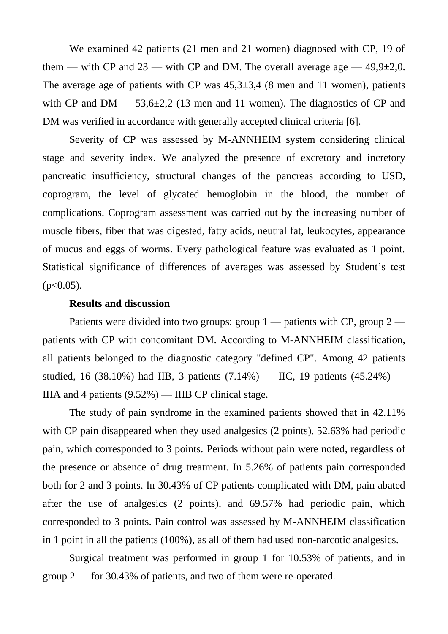We examined 42 patients (21 men and 21 women) diagnosed with CP, 19 of them — with CP and  $23$  — with CP and DM. The overall average age — 49,9 $\pm$ 2,0. The average age of patients with CP was  $45,3\pm3,4$  (8 men and 11 women), patients with CP and  $DM = 53.6 \pm 2.2$  (13 men and 11 women). The diagnostics of CP and DM was verified in accordance with generally accepted clinical criteria [6].

Severity of CP was assessed by M-ANNHEIM system considering clinical stage and severity index. We analyzed the presence of excretory and incretory pancreatic insufficiency, structural changes of the pancreas according to USD, coprogram, the level of glycated hemoglobin in the blood, the number of complications. Coprogram assessment was carried out by the increasing number of muscle fibers, fiber that was digested, fatty acids, neutral fat, leukocytes, appearance of mucus and eggs of worms. Every pathological feature was evaluated as 1 point. Statistical significance of differences of averages was assessed by Student's test  $(p<0.05)$ .

### **Results and discussion**

Patients were divided into two groups: group 1 — patients with CP, group 2 patients with CP with concomitant DM. According to M-ANNHEIM classification, all patients belonged to the diagnostic category "defined CP". Among 42 patients studied, 16 (38.10%) had IIB, 3 patients (7.14%) — IIC, 19 patients (45.24%) — IIIA and 4 patients  $(9.52\%)$  — IIIB CP clinical stage.

The study of pain syndrome in the examined patients showed that in 42.11% with CP pain disappeared when they used analgesics (2 points). 52.63% had periodic pain, which corresponded to 3 points. Periods without pain were noted, regardless of the presence or absence of drug treatment. In 5.26% of patients pain corresponded both for 2 and 3 points. In 30.43% of CP patients complicated with DM, pain abated after the use of analgesics (2 points), and 69.57% had periodic pain, which corresponded to 3 points. Pain control was assessed by M-ANNHEIM classification in 1 point in all the patients (100%), as all of them had used non-narcotic analgesics.

Surgical treatment was performed in group 1 for 10.53% of patients, and in group 2 — for 30.43% of patients, and two of them were re-operated.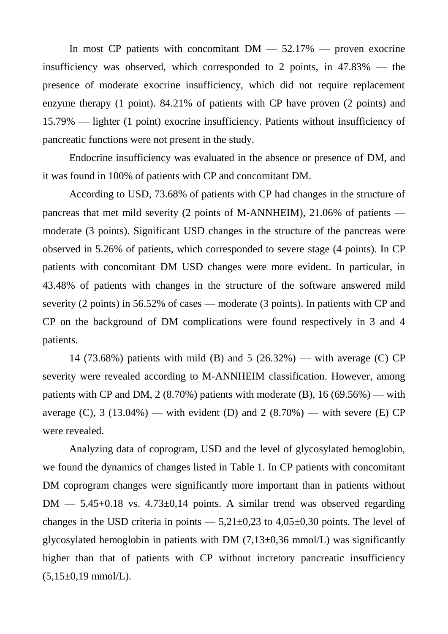In most CP patients with concomitant  $DM - 52.17\%$  — proven exocrine insufficiency was observed, which corresponded to 2 points, in 47.83% — the presence of moderate exocrine insufficiency, which did not require replacement enzyme therapy (1 point). 84.21% of patients with CP have proven (2 points) and 15.79% — lighter (1 point) exocrine insufficiency. Patients without insufficiency of pancreatic functions were not present in the study.

Endocrine insufficiency was evaluated in the absence or presence of DM, and it was found in 100% of patients with CP and concomitant DM.

According to USD, 73.68% of patients with CP had changes in the structure of pancreas that met mild severity (2 points of M-ANNHEIM), 21.06% of patients moderate (3 points). Significant USD changes in the structure of the pancreas were observed in 5.26% of patients, which corresponded to severe stage (4 points). In CP patients with concomitant DM USD changes were more evident. In particular, in 43.48% of patients with changes in the structure of the software answered mild severity (2 points) in 56.52% of cases — moderate (3 points). In patients with CP and CP on the background of DM complications were found respectively in 3 and 4 patients.

14 (73.68%) patients with mild (B) and 5 (26.32%) — with average (C) CP severity were revealed according to M-ANNHEIM classification. However, among patients with CP and DM, 2 (8.70%) patients with moderate (B), 16 (69.56%) — with average  $(C)$ , 3 (13.04%) — with evident  $(D)$  and 2 (8.70%) — with severe  $(E)$  CP were revealed.

Analyzing data of coprogram, USD and the level of glycosylated hemoglobin, we found the dynamics of changes listed in Table 1. In CP patients with concomitant DM coprogram changes were significantly more important than in patients without  $DM - 5.45+0.18$  vs.  $4.73\pm0.14$  points. A similar trend was observed regarding changes in the USD criteria in points  $-5,21\pm0,23$  to  $4,05\pm0,30$  points. The level of glycosylated hemoglobin in patients with DM  $(7,13\pm0.36 \text{ mmol/L})$  was significantly higher than that of patients with CP without incretory pancreatic insufficiency  $(5,15\pm0,19 \text{ mmol/L}).$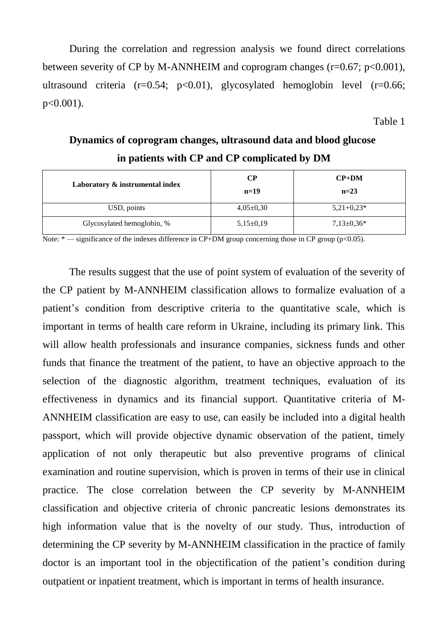During the correlation and regression analysis we found direct correlations between severity of CP by M-ANNHEIM and coprogram changes ( $r=0.67$ ;  $p<0.001$ ), ultrasound criteria (r=0.54; p<0.01), glycosylated hemoglobin level (r=0.66; p<0.001).

Table 1

## **Dynamics of coprogram changes, ultrasound data and blood glucose in patients with CP and CP complicated by DM**

| Laboratory & instrumental index | CР<br>$n=19$  | $CP+DM$<br>$n=23$ |
|---------------------------------|---------------|-------------------|
| USD, points                     | $4,05\pm0,30$ | $5,21+0,23*$      |
| Glycosylated hemoglobin, %      | $5,15\pm0,19$ | $7,13\pm0.36*$    |

Note: \* — significance of the indexes difference in CP+DM group concerning those in CP group (p<0.05).

The results suggest that the use of point system of evaluation of the severity of the CP patient by M-ANNHEIM classification allows to formalize evaluation of a patient's condition from descriptive criteria to the quantitative scale, which is important in terms of health care reform in Ukraine, including its primary link. This will allow health professionals and insurance companies, sickness funds and other funds that finance the treatment of the patient, to have an objective approach to the selection of the diagnostic algorithm, treatment techniques, evaluation of its effectiveness in dynamics and its financial support. Quantitative criteria of M-ANNHEIM classification are easy to use, can easily be included into a digital health passport, which will provide objective dynamic observation of the patient, timely application of not only therapeutic but also preventive programs of clinical examination and routine supervision, which is proven in terms of their use in clinical practice. The close correlation between the CP severity by M-ANNHEIM classification and objective criteria of chronic pancreatic lesions demonstrates its high information value that is the novelty of our study. Thus, introduction of determining the CP severity by M-ANNHEIM classification in the practice of family doctor is an important tool in the objectification of the patient's condition during outpatient or inpatient treatment, which is important in terms of health insurance.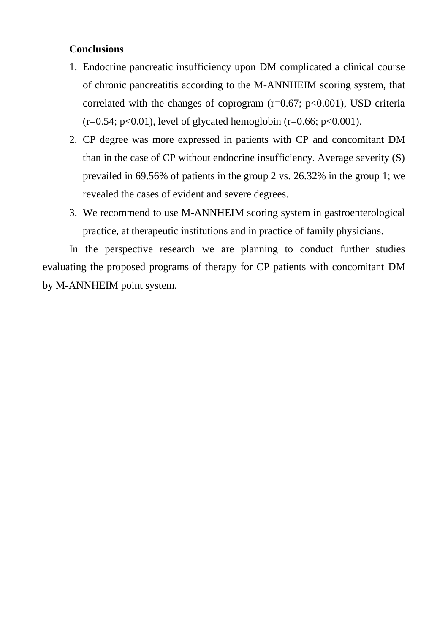## **Conclusions**

- 1. Endocrine pancreatic insufficiency upon DM complicated a clinical course of chronic pancreatitis according to the M-ANNHEIM scoring system, that correlated with the changes of coprogram  $(r=0.67; p<0.001)$ , USD criteria  $(r=0.54; p<0.01)$ , level of glycated hemoglobin  $(r=0.66; p<0.001)$ .
- 2. CP degree was more expressed in patients with CP and concomitant DM than in the case of CP without endocrine insufficiency. Average severity (S) prevailed in 69.56% of patients in the group 2 vs. 26.32% in the group 1; we revealed the cases of evident and severe degrees.
- 3. We recommend to use M-ANNHEIM scoring system in gastroenterological practice, at therapeutic institutions and in practice of family physicians.

In the perspective research we are planning to conduct further studies evaluating the proposed programs of therapy for CP patients with concomitant DM by M-ANNHEIM point system.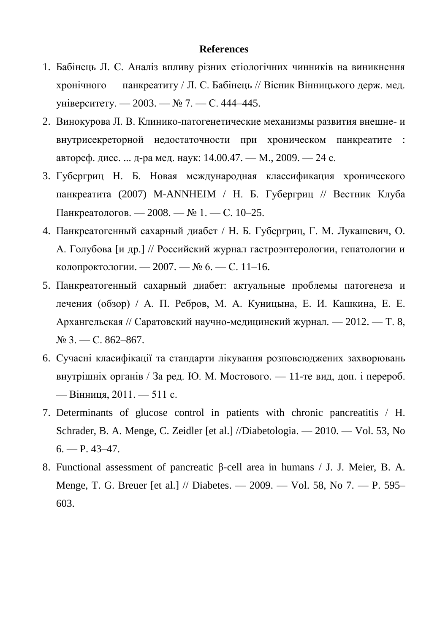#### **References**

- 1. Бабінець Л. С. Аналіз впливу різних етіологічних чинників на виникнення хронічного панкреатиту / Л. С. Бабінець // Вісник Вінницького держ. мед. університету. — 2003. — № 7. — С. 444–445.
- 2. Винокурова Л. В. Клинико-патогенетические механизмы развития внешне- и внутрисекреторной недостаточности при хроническом панкреатите : автореф. дисс. ... д-ра мед. наук: 14.00.47. — М., 2009. — 24 с.
- 3. Губергриц Н. Б. Новая международная классификация хронического панкреатита (2007) M-ANNHEIM / Н. Б. Губергриц // Вестник Клуба Панкреатологов. — 2008. — № 1. — С. 10–25.
- 4. Панкреатогенный сахарный диабет / Н. Б. Губергриц, Г. М. Лукашевич, О. А. Голубова [и др.] // Российский журнал гастроэнтерологии, гепатологии и колопроктологии. — 2007. — № 6. — С. 11–16.
- 5. Панкреатогенный сахарный диабет: актуальные проблемы патогенеза и лечения (обзор) / А. П. Ребров, М. А. Куницына, Е. И. Кашкина, Е. Е. Архангельская // Саратовский научно-медицинский журнал. — 2012. — Т. 8,  $N<sub>2</sub>$  3. — C. 862–867.
- 6. Сучасні класифікації та стандарти лікування розповсюджених захворювань внутрішніх органів / За ред. Ю. М. Мостового. — 11-те вид, доп. і перероб. — Вінниця, 2011. — 511 с.
- 7. Determinants of glucose control in patients with chronic pancreatitis / Н. Schrader, B. A. Menge, C. Zeidler [et al.] //Diabetologia. — 2010. — Vol. 53, No  $6. - P. 43 - 47.$
- 8. Functional assessment of pancreatic β-cell area in humans / J. J. Meier, B. A. Menge, T. G. Breuer [et al.] // Diabetes. — 2009. — Vol. 58, No 7. — P. 595– 603.